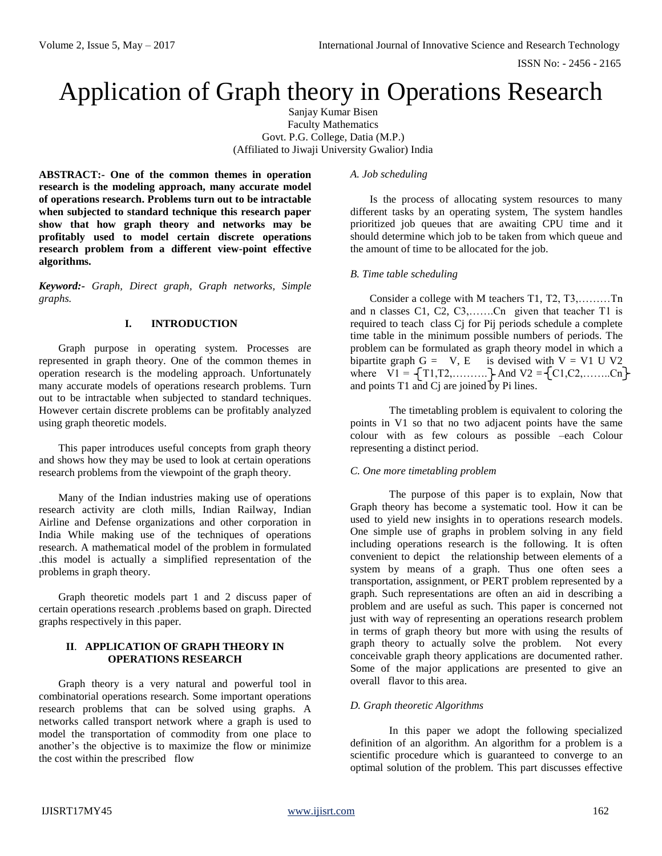ISSN No: - 2456 - 2165

# Application of Graph theory in Operations Research

Sanjay Kumar Bisen Faculty Mathematics Govt. P.G. College, Datia (M.P.) (Affiliated to Jiwaji University Gwalior) India

**ABSTRACT:- One of the common themes in operation research is the modeling approach, many accurate model of operations research. Problems turn out to be intractable when subjected to standard technique this research paper show that how graph theory and networks may be profitably used to model certain discrete operations research problem from a different view-point effective algorithms.**

*Keyword:- Graph, Direct graph, Graph networks, Simple graphs.*

# **I. INTRODUCTION**

Graph purpose in operating system. Processes are represented in graph theory. One of the common themes in operation research is the modeling approach. Unfortunately many accurate models of operations research problems. Turn out to be intractable when subjected to standard techniques. However certain discrete problems can be profitably analyzed using graph theoretic models.

This paper introduces useful concepts from graph theory and shows how they may be used to look at certain operations research problems from the viewpoint of the graph theory.

Many of the Indian industries making use of operations research activity are cloth mills, Indian Railway, Indian Airline and Defense organizations and other corporation in India While making use of the techniques of operations research. A mathematical model of the problem in formulated .this model is actually a simplified representation of the problems in graph theory.

Graph theoretic models part 1 and 2 discuss paper of certain operations research .problems based on graph. Directed graphs respectively in this paper.

# **II**. **APPLICATION OF GRAPH THEORY IN OPERATIONS RESEARCH**

Graph theory is a very natural and powerful tool in combinatorial operations research. Some important operations research problems that can be solved using graphs. A networks called transport network where a graph is used to model the transportation of commodity from one place to another's the objective is to maximize the flow or minimize the cost within the prescribed flow

### *A. Job scheduling*

Is the process of allocating system resources to many different tasks by an operating system, The system handles prioritized job queues that are awaiting CPU time and it should determine which job to be taken from which queue and the amount of time to be allocated for the job.

# *B. Time table scheduling*

Consider a college with M teachers T1, T2, T3,………Tn and n classes C1, C2, C3,…….Cn given that teacher T1 is required to teach class Cj for Pij periods schedule a complete time table in the minimum possible numbers of periods. The problem can be formulated as graph theory model in which a bipartite graph  $G = V$ , E is devised with  $V = V1$  U V2 where  $V1 = \{T1, T2, \dots, T\}$  And  $V2 = \{C1, C2, \dots, Cn\}$ and points T1 and Cj are joined by Pi lines.

The timetabling problem is equivalent to coloring the points in V1 so that no two adjacent points have the same colour with as few colours as possible –each Colour representing a distinct period.

#### *C. One more timetabling problem*

The purpose of this paper is to explain, Now that Graph theory has become a systematic tool. How it can be used to yield new insights in to operations research models. One simple use of graphs in problem solving in any field including operations research is the following. It is often convenient to depict the relationship between elements of a system by means of a graph. Thus one often sees a transportation, assignment, or PERT problem represented by a graph. Such representations are often an aid in describing a problem and are useful as such. This paper is concerned not just with way of representing an operations research problem in terms of graph theory but more with using the results of graph theory to actually solve the problem. Not every conceivable graph theory applications are documented rather. Some of the major applications are presented to give an overall flavor to this area.

#### *D. Graph theoretic Algorithms*

In this paper we adopt the following specialized definition of an algorithm. An algorithm for a problem is a scientific procedure which is guaranteed to converge to an optimal solution of the problem. This part discusses effective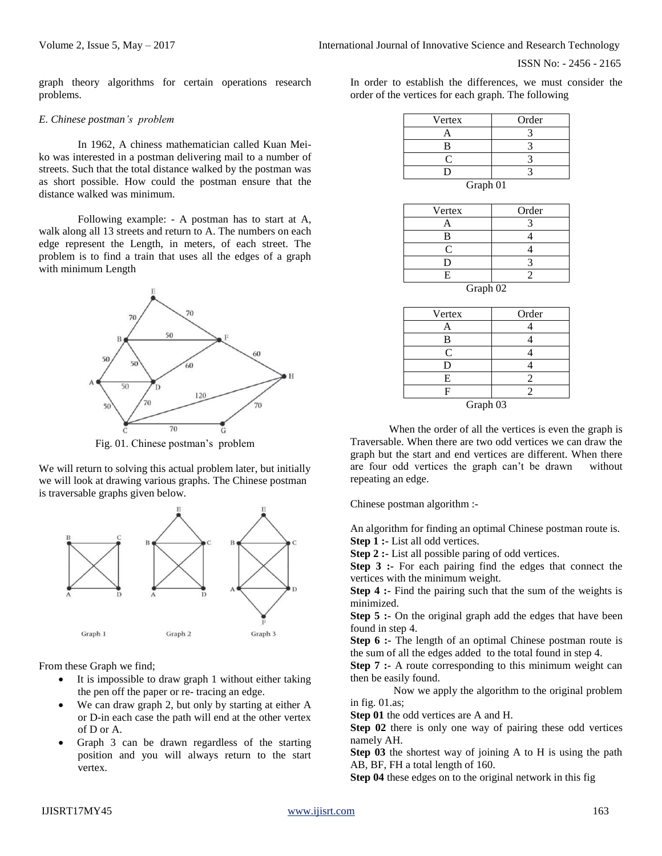graph theory algorithms for certain operations research problems.

#### *E. Chinese postman's problem*

In 1962, A chiness mathematician called Kuan Meiko was interested in a postman delivering mail to a number of streets. Such that the total distance walked by the postman was as short possible. How could the postman ensure that the distance walked was minimum.

Following example: - A postman has to start at A, walk along all 13 streets and return to A. The numbers on each edge represent the Length, in meters, of each street. The problem is to find a train that uses all the edges of a graph with minimum Length



Fig. 01. Chinese postman's problem

We will return to solving this actual problem later, but initially we will look at drawing various graphs. The Chinese postman is traversable graphs given below.



From these Graph we find;

- It is impossible to draw graph 1 without either taking the pen off the paper or re- tracing an edge.
- We can draw graph 2, but only by starting at either A or D-in each case the path will end at the other vertex of D or A.
- Graph 3 can be drawn regardless of the starting position and you will always return to the start vertex.

In order to establish the differences, we must consider the order of the vertices for each graph. The following

| Vertex   | Order |
|----------|-------|
|          |       |
| B        |       |
| ┌        |       |
| I)       |       |
| Graph 01 |       |

| Vertex                    | Order |  |
|---------------------------|-------|--|
| A                         |       |  |
| B                         |       |  |
| C                         |       |  |
| D                         |       |  |
| E                         |       |  |
| $C_{\text{max}}$ $\Omega$ |       |  |

| Graph 02 |  |
|----------|--|
|----------|--|

| Vertex   | Order |  |
|----------|-------|--|
|          |       |  |
| B        |       |  |
| C        |       |  |
| Ð        |       |  |
| Е        | 2     |  |
| F        |       |  |
| Graph 03 |       |  |

When the order of all the vertices is even the graph is Traversable. When there are two odd vertices we can draw the graph but the start and end vertices are different. When there are four odd vertices the graph can't be drawn without repeating an edge.

Chinese postman algorithm :-

An algorithm for finding an optimal Chinese postman route is. **Step 1 :-** List all odd vertices.

**Step 2 :-** List all possible paring of odd vertices.

**Step 3 :-** For each pairing find the edges that connect the vertices with the minimum weight.

**Step 4 :-** Find the pairing such that the sum of the weights is minimized.

**Step 5 :-** On the original graph add the edges that have been found in step 4.

**Step 6 :-** The length of an optimal Chinese postman route is the sum of all the edges added to the total found in step 4.

**Step 7 :-** A route corresponding to this minimum weight can then be easily found.

 Now we apply the algorithm to the original problem in fig. 01.as;

**Step 01** the odd vertices are A and H.

**Step 02** there is only one way of pairing these odd vertices namely AH.

**Step 03** the shortest way of joining A to H is using the path AB, BF, FH a total length of 160.

**Step 04** these edges on to the original network in this fig